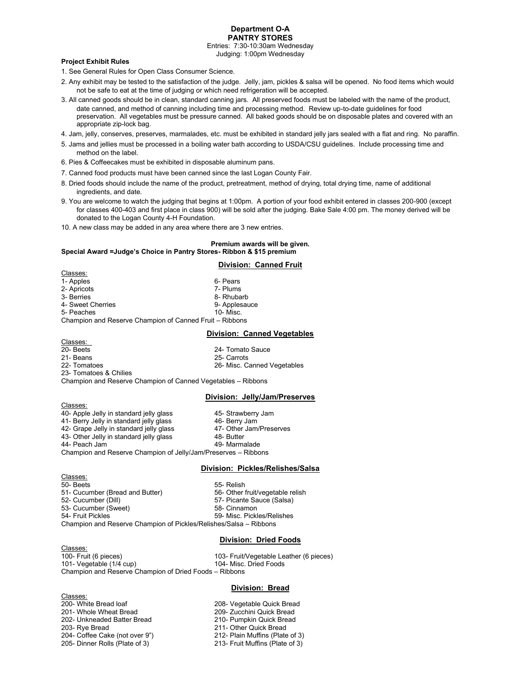## **Department O-A PANTRY STORES**

Entries: 7:30-10:30am Wednesday Judging: 1:00pm Wednesday

## **Project Exhibit Rules**

1. See General Rules for Open Class Consumer Science.

- 2. Any exhibit may be tested to the satisfaction of the judge. Jelly, jam, pickles & salsa will be opened. No food items which would not be safe to eat at the time of judging or which need refrigeration will be accepted.
- 3. All canned goods should be in clean, standard canning jars. All preserved foods must be labeled with the name of the product, date canned, and method of canning including time and processing method. Review up-to-date guidelines for food preservation. All vegetables must be pressure canned. All baked goods should be on disposable plates and covered with an appropriate zip-lock bag.
- 4. Jam, jelly, conserves, preserves, marmalades, etc. must be exhibited in standard jelly jars sealed with a flat and ring. No paraffin.
- 5. Jams and jellies must be processed in a boiling water bath according to USDA/CSU guidelines. Include processing time and method on the label.
- 6. Pies & Coffeecakes must be exhibited in disposable aluminum pans.
- 7. Canned food products must have been canned since the last Logan County Fair.
- 8. Dried foods should include the name of the product, pretreatment, method of drying, total drying time, name of additional ingredients, and date.
- 9. You are welcome to watch the judging that begins at 1:00pm. A portion of your food exhibit entered in classes 200-900 (except for classes 400-403 and first place in class 900) will be sold after the judging. Bake Sale 4:00 pm. The money derived will be donated to the Logan County 4-H Foundation.
- 10. A new class may be added in any area where there are 3 new entries.

#### **Premium awards will be given. Special Award =Judge's Choice in Pantry Stores- Ribbon & \$15 premium**

#### **Division: Canned Fruit**

Classes: 1- Apples 6- Pears 6- Pears 6- Pears 1- Apples 6- Pears 1- Apple 1- Apple 1- Apple 1- Apple 1- Apple 1- Apple 1<br>1- Apricots 1- Apple 1- Apple 1- Apple 1- Apple 1- Apple 1- Apple 1- Apple 1- Apple 1- Apple 1- Apple 1- Apple 2- Apricots 3- Berries 8- Rhubarb 4- Sweet Cherries 6- Applesauce 5- Peaches 6- Applesauce 5- Peaches 9- Applesauce 9- Applesauce 9- Applesauce 9- Applesauce 9- Applesauce 9- Applesauce 9- Applesauce 9- Applesauce 9- Applesauce 9- Applesauce 9- Applesauce 5- Peaches Champion and Reserve Champion of Canned Fruit – Ribbons

#### **Division: Canned Vegetables**

Classes:<br>20- Beets 24- Tomato Sauce 21- Beans 25- Carrots 26- Misc. Canned Vegetables 23- Tomatoes & Chilies Champion and Reserve Champion of Canned Vegetables – Ribbons

#### **Division: Jelly/Jam/Preserves**

Classes: 40- Apple Jelly in standard jelly glass 45- Strawberry Jam 41- Berry Jelly in standard jelly glass 46- Berry Jam 42- Grape Jelly in standard jelly glass 47- Other Jam/Preserves<br>43- Other Jelly in standard jelly glass 48- Butter 43- Other Jelly in standard jelly glass 44- Peach Jam 49- Marmalade Champion and Reserve Champion of Jelly/Jam/Preserves – Ribbons

#### **Division: Pickles/Relishes/Salsa**

Classes: 50- Beets<br>51- Cucumber (Bread and Butter) 55- Relish<br>56- Other fruit/vegetable relish 51- Cucumber (Bread and Butter) 52- Cucumber (Dill) 57- Picante Sauce (Salsa) 53- Cucumber (Sweet) 58- Cinnamon 54- Fruit Pickles 59- Misc. Pickles/Relishes Champion and Reserve Champion of Pickles/Relishes/Salsa – Ribbons

#### **Division: Dried Foods**

Classes: 100- Fruit (6 pieces)<br>101- Vegetable (1/4 cup) 103- Fruit/Vegetable Leather (6 pieces) 101- Vegetable  $(1/4$  cup) Champion and Reserve Champion of Dried Foods – Ribbons

#### **Division: Bread**

Classes:<br>200- White Bread loaf 200- White Bread loaf 208- Vegetable Quick Bread 202- Unkneaded Batter Bread 210- Pumpkin Quick Bread 203- Rye Bread 2011- Other Quick Bread 204- Coffee Cake (not over 9") 212- Plain Muffins (Plate of 3) 204- Coffee Cake (not over 9") 205- Dinner Rolls (Plate of 3) 213- Fruit Muffins (Plate of 3)

209- Zucchini Quick Bread